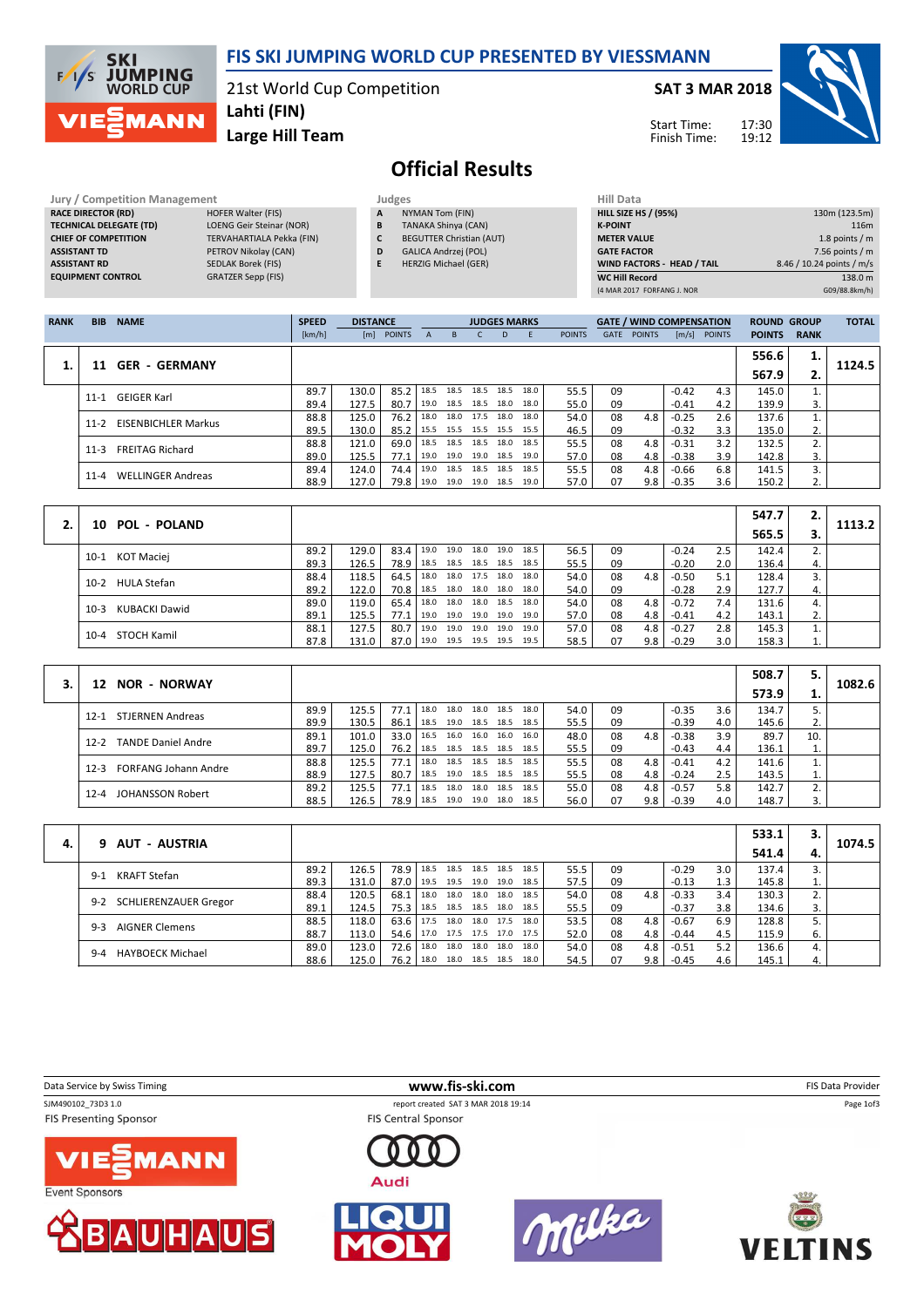

### FIS SKI JUMPING WORLD CUP PRESENTED BY VIESSMANN

21st World Cup Competition

Large Hill Team Lahti (FIN)

SAT 3 MAR 2018

Start Time: Finish Time:



## Official Results

Jury / Competition Management Judges Hill Data<br>
RACE DIRECTOR (RD) HILL SIZE RACE DIRECTOR (RD) TECHNICAL DELEGATE (TD) LOENG Geir Steinar (NOR) CHIEF OF COMPETITION TERVAHARTIALA Pekka (FIN) ASSISTANT TD PETROV Nikolay (CAN) ASSISTANT RD SEDLAK Borek (FIS)<br>
EQUIPMENT CONTROL GRATZER Sepp (FIS) EQUIPMENT CONTROL

NYMAN Tom (FIN)

- B TANAKA Shinya (CAN)
- C BEGUTTER Christian (AUT)<br>D GALICA Andrzej (POL)
- **D** GALICA Andrzej (POL)<br>**E** HERZIG Michael (GER) HERZIG Michael (GER)

| nuu wata                          |                           |
|-----------------------------------|---------------------------|
| <b>HILL SIZE HS / (95%)</b>       | 130m (123.5m)             |
| <b>K-POINT</b>                    | 116 <sub>m</sub>          |
| <b>METER VALUE</b>                | 1.8 points $/m$           |
| <b>GATE FACTOR</b>                | 7.56 points $/m$          |
| <b>WIND FACTORS - HEAD / TAIL</b> | 8.46 / 10.24 points / m/s |
| <b>WC Hill Record</b>             | 138.0 m                   |
| (4 MAR 2017 FORFANG J. NOR        | G09/88.8km/h)             |
|                                   |                           |

| <b>RANK</b> | <b>BIB</b> | <b>NAME</b>                | <b>SPEED</b> | <b>DISTANCE</b> |               |      |           | <b>JUDGES MARKS</b> |      |      |               |             | <b>GATE / WIND COMPENSATION</b> |                       |               | <b>ROUND GROUP</b> |             | <b>TOTAL</b> |
|-------------|------------|----------------------------|--------------|-----------------|---------------|------|-----------|---------------------|------|------|---------------|-------------|---------------------------------|-----------------------|---------------|--------------------|-------------|--------------|
|             |            |                            | [km/h]       | [m]             | <b>POINTS</b> | A    | B.        |                     | D.   |      | <b>POINTS</b> | <b>GATE</b> | <b>POINTS</b>                   | $\lfloor m/s \rfloor$ | <b>POINTS</b> | <b>POINTS</b>      | <b>RANK</b> |              |
|             |            |                            |              |                 |               |      |           |                     |      |      |               |             |                                 |                       |               | 556.6              | 1.          |              |
|             |            | <b>GER - GERMANY</b>       |              |                 |               |      |           |                     |      |      |               |             |                                 |                       |               | 567.9              | 2.          | 1124.5       |
|             | $11 - 1$   | GEIGER Karl                | 89.7         | 130.0           | 85.2          | 18.5 | 18.5      | 18.5                | 18.5 | 18.0 | 55.5          | 09          |                                 | $-0.42$               | 4.3           | 145.0              |             |              |
|             |            |                            | 89.4         | 127.5           | 80.7          | 19.0 | 18.5 18.5 |                     | 18.0 | 18.0 | 55.0          | 09          |                                 | $-0.41$               | 4.2           | 139.9              | 3.          |              |
|             | $11 - 2$   | <b>EISENBICHLER Markus</b> | 88.8         | 125.0           | 76.2          | 18.0 |           | 18.0 17.5 18.0      |      | 18.0 | 54.0          | 08          | 4.8                             | $-0.25$               | 2.6           | 137.6              |             |              |
|             |            |                            | 89.5         | 130.0           | 85.2          | 15.5 |           | 15.5 15.5 15.5      |      | 15.5 | 46.5          | 09          |                                 | $-0.32$               | 3.3           | 135.0              | 2.          |              |
|             | $11 - 3$   | <b>FREITAG Richard</b>     | 88.8         | 121.0           | 69.0          | 18.5 |           | 18.5 18.5 18.0      |      | 18.5 | 55.5          | 08          | 4.8                             | $-0.31$               | 3.2           | 132.5              | 2.          |              |
|             |            |                            | 89.0         | 125.5           | 77.1          | 19.0 |           | 19.0 19.0 18.5      |      | 19.0 | 57.0          | 08          | 4.8                             | $-0.38$               | 3.9           | 142.8              | 3.          |              |
|             | $11 - 4$   | <b>WELLINGER Andreas</b>   | 89.4         | 124.0           | 74.4          | 19.0 |           | 18.5 18.5 18.5      |      | 18.5 | 55.5          | 08          | 4.8                             | $-0.66$               | 6.8           | 141.5              | 3.          |              |
|             |            |                            | 88.9         | 127.0           | 79.8          | 19.0 | 19.0      | 19.0                | 18.5 | 19.0 | 57.0          | 07          | 9.8                             | $-0.35$               | 3.6           | 150.2              | 2.          |              |

|                         |      |       |      |           |      |      |                |      |      |    |     |                 |     | 547.7 |    |        |
|-------------------------|------|-------|------|-----------|------|------|----------------|------|------|----|-----|-----------------|-----|-------|----|--------|
| 10 POL - POLAND         |      |       |      |           |      |      |                |      |      |    |     |                 |     | 565.5 |    | 1113.2 |
| 10-1 KOT Maciej         | 89.2 | 129.0 | 83.4 | 19.0      | 19.0 | 18.0 | 19.0 18.5      |      | 56.5 | 09 |     | $-0.24$         | 2.5 | 142.4 |    |        |
|                         | 89.3 | 126.5 | 78.9 | 18.5 18.5 |      |      | 18.5 18.5 18.5 |      | 55.5 | 09 |     | $-0.20$         | 2.0 | 136.4 | 4. |        |
| 10-2 HULA Stefan        | 88.4 | 118.5 | 64.5 | 18.0 18.0 |      | 17.5 | 18.0 18.0      |      | 54.0 | 08 | 4.8 | $-0.50$         | 5.1 | 128.4 |    |        |
|                         | 89.2 | 122.0 | 70.8 | 18.5 18.0 |      | 18.0 | 18.0           | 18.0 | 54.0 | 09 |     | $-0.28$         | 2.9 | 127.7 |    |        |
| KUBACKI Dawid<br>$10-3$ | 89.0 | 119.0 | 65.4 | 18.0 18.0 |      |      | 18.0 18.5 18.0 |      | 54.0 | 08 | 4.8 | $-0.72$         | 7.4 | 131.6 |    |        |
|                         | 89.1 | 125.5 | 77.1 | 19.0 19.0 |      |      | 19.0 19.0 19.0 |      | 57.0 | 08 | 4.8 | -0.41           | 4.2 | 143.1 | ۷. |        |
|                         | 88.1 | 127.5 | 80.7 | 19.0      | 19.0 | 19.0 | 19.0           | 19.0 | 57.0 | 08 | 4.8 | $-0.27$         | 2.8 | 145.3 |    |        |
| 10-4 STOCH Kamil        | 87.8 | 131.0 | 87.0 | 19.0 19.5 |      |      | 19.5 19.5 19.5 |      | 58.5 | 07 |     | $9.8$   $-0.29$ | 3.0 | 158.3 |    |        |

|                                         |      |       |      |      |      |                |                |      |      |    |                  |         |     | 508.7 | 5.  |        |
|-----------------------------------------|------|-------|------|------|------|----------------|----------------|------|------|----|------------------|---------|-----|-------|-----|--------|
| <b>NOR - NORWAY</b><br>12               |      |       |      |      |      |                |                |      |      |    |                  |         |     | 573.9 | ı.  | 1082.6 |
| <b>STJERNEN Andreas</b><br>$12 - 1$     | 89.9 | 125.5 | 77.1 | 18.0 | 18.0 |                | 18.0 18.5      | 18.0 | 54.0 | 09 |                  | $-0.35$ | 3.6 | 134.7 |     |        |
|                                         | 89.9 | 130.5 | 86.1 | 18.5 | 19.0 | 18.5 18.5      |                | 18.5 | 55.5 | 09 |                  | $-0.39$ | 4.0 | 145.6 | 2.  |        |
| <b>TANDE Daniel Andre</b><br>$12 - 2$   | 89.1 | 101.0 | 33.0 | 16.5 | 16.0 | 16.0           | 16.0           | 16.0 | 48.0 | 08 | 4.8              | $-0.38$ | 3.9 | 89.7  | 10. |        |
|                                         | 89.7 | 125.0 | 76.2 | 18.5 | 18.5 | 18.5 18.5      |                | 18.5 | 55.5 | 09 |                  | $-0.43$ | 4.4 | 136.1 | ı.  |        |
| <b>FORFANG Johann Andre</b><br>$12 - 3$ | 88.8 | 125.5 | 77.1 | 18.0 |      | 18.5 18.5 18.5 |                | 18.5 | 55.5 | 08 | 4.8              | $-0.41$ | 4.2 | 141.6 |     |        |
|                                         | 88.9 | 127.5 | 80.7 | 18.5 |      | 19.0 18.5 18.5 |                | 18.5 | 55.5 | 08 | 4.8              | $-0.24$ | 2.5 | 143.5 | ∸   |        |
| JOHANSSON Robert<br>$12 - 4$            | 89.2 | 125.5 | 77.1 | 18.5 | 18.0 | 18.0 18.5      |                | 18.5 | 55.0 | 08 | 4.8              | $-0.57$ | 5.8 | 142.7 |     |        |
|                                         | 88.5 | 126.5 | 78.9 | 18.5 |      |                | 19.0 19.0 18.0 | 18.5 | 56.0 | 07 | 9.8 <sub>1</sub> | $-0.39$ | 4.0 | 148.7 | 3.  |        |

|    |                                    |      |       |      |                     |      |                |      |      |    |     |         |     | 533.1 |      |        |
|----|------------------------------------|------|-------|------|---------------------|------|----------------|------|------|----|-----|---------|-----|-------|------|--------|
| 4. | 9 AUT - AUSTRIA                    |      |       |      |                     |      |                |      |      |    |     |         |     | 541.4 | 4.   | 1074.5 |
|    | <b>KRAFT Stefan</b><br>$9-1$       | 89.2 | 126.5 | 78.9 | 18.5                | 18.5 | 18.5 18.5      | 18.5 | 55.5 | 09 |     | $-0.29$ | 3.0 | 137.4 |      |        |
|    |                                    | 89.3 | 131.0 | 87.0 | 19.5                |      | 19.5 19.0 19.0 | 18.5 | 57.5 | 09 |     | $-0.13$ | 1.3 | 145.8 | 1. L |        |
|    |                                    | 88.4 | 120.5 | 68.1 | 18.0                |      | 18.0 18.0 18.0 | 18.5 | 54.0 | 08 | 4.8 | $-0.33$ | 3.4 | 130.3 | 2.   |        |
|    | SCHLIERENZAUER Gregor<br>$9 - 2$   | 89.1 | 124.5 | 75.3 | 18.5                |      | 18.5 18.5 18.0 | 18.5 | 55.5 | 09 |     | $-0.37$ | 3.8 | 134.6 | 3.   |        |
|    | <b>AIGNER Clemens</b><br>$9 - 3$   | 88.5 | 118.0 | 63.6 | . 17.5              |      | 18.0 18.0 17.5 | 18.0 | 53.5 | 08 | 4.8 | $-0.67$ | 6.9 | 128.8 | 5.   |        |
|    |                                    | 88.7 | 113.0 | 54.6 | 17.0 17.5 17.5 17.0 |      |                | 17.5 | 52.0 | 08 | 4.8 | $-0.44$ | 4.5 | 115.9 | 6.   |        |
|    |                                    | 89.0 | 123.0 | 72.6 | 18.0                | 18.0 | 18.0 18.0      | 18.0 | 54.0 | 08 | 4.8 | $-0.51$ | 5.2 | 136.6 | 4.   |        |
|    | <b>HAYBOECK Michael</b><br>$9 - 4$ | 88.6 | 125.0 | 76.2 | 18.0                |      | 18.0 18.5 18.5 | 18.0 | 54.5 | 07 | 9.8 | $-0.45$ | 4.6 | 145.1 | 4.   |        |

| Data Service by Swiss Timing                        | www.fis-ski.com                                                   |               | <b>FIS Data Provider</b> |
|-----------------------------------------------------|-------------------------------------------------------------------|---------------|--------------------------|
| SJM490102_73D3 1.0<br><b>FIS Presenting Sponsor</b> | report created SAT 3 MAR 2018 19:14<br><b>FIS Central Sponsor</b> |               | Page 1of3                |
| <b>VIE MANN</b><br><b>Event Sponsors</b>            | Audi                                                              |               |                          |
| <b>HAUS</b>                                         |                                                                   | <b>Circle</b> | 388<br>VELT<br><b>NS</b> |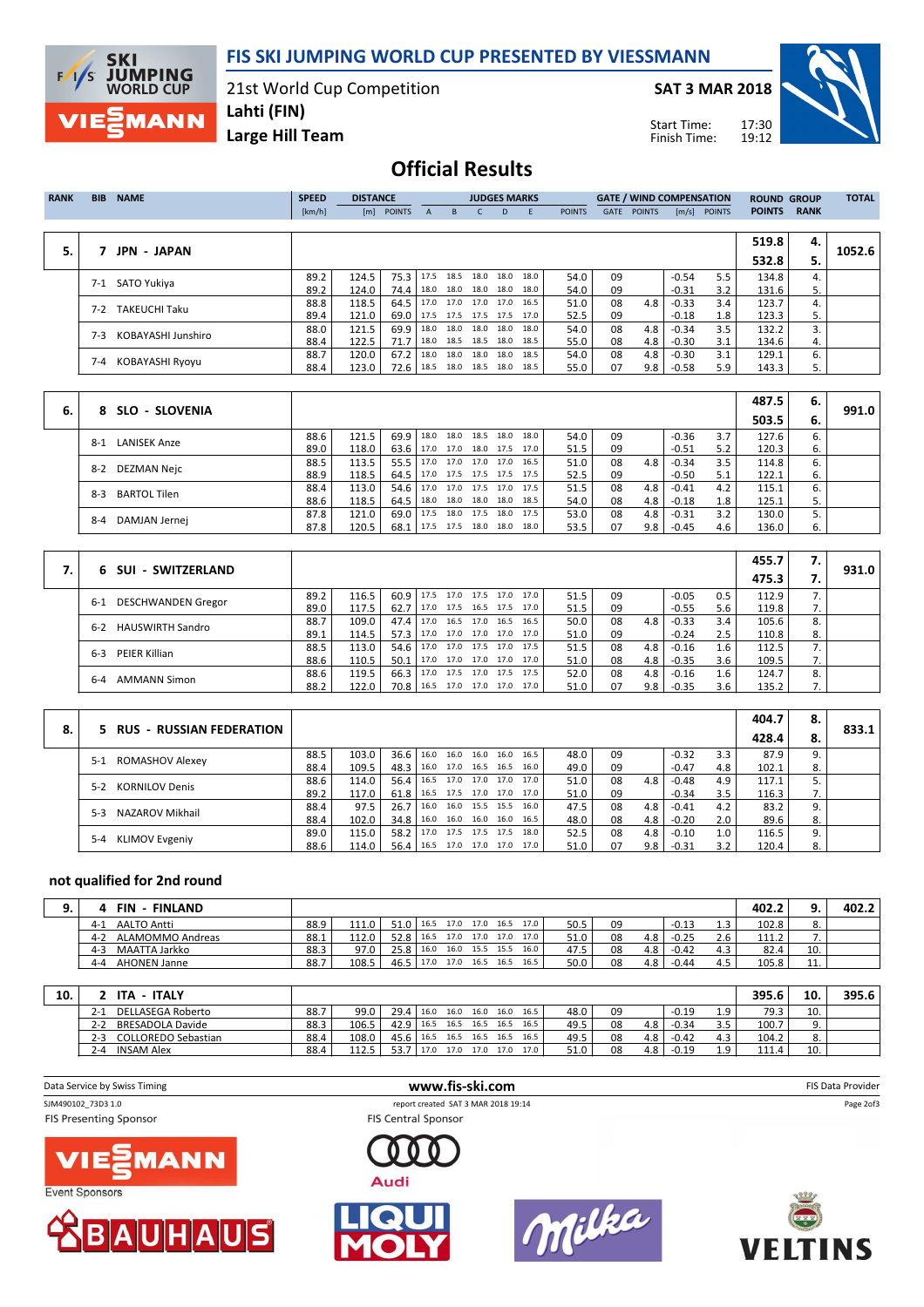FIS SKI JUMPING WORLD CUP PRESENTED BY VIESSMANN

21st World Cup Competition

SAT 3 MAR 2018

Start Time: Finish Time:



Large Hill Team Lahti (FIN)

## Official Results

| <b>RANK</b> | <b>BIB</b> | <b>NAME</b>          | <b>SPEED</b> | <b>DISTANCE</b> |                            |              |           | <b>JUDGES MARKS</b>      |    |      |               |             |               | <b>GATE / WIND COMPENSATION</b> |               | <b>ROUND GROUP</b> |             | <b>TOTAL</b> |
|-------------|------------|----------------------|--------------|-----------------|----------------------------|--------------|-----------|--------------------------|----|------|---------------|-------------|---------------|---------------------------------|---------------|--------------------|-------------|--------------|
|             |            |                      | [km/h]       | [m]             | <b>POINTS</b>              | $\mathsf{A}$ | B.        | C.                       | D. | - E  | <b>POINTS</b> | <b>GATE</b> | <b>POINTS</b> | [m/s]                           | <b>POINTS</b> | <b>POINTS</b>      | <b>RANK</b> |              |
|             |            |                      |              |                 |                            |              |           |                          |    |      |               |             |               |                                 |               |                    |             |              |
|             |            |                      |              |                 |                            |              |           |                          |    |      |               |             |               |                                 |               | 519.8              | 4.          |              |
| 5.          |            | <b>JPN - JAPAN</b>   |              |                 |                            |              |           |                          |    |      |               |             |               |                                 |               | 532.8              | 5.          | 1052.6       |
|             | $7 - 1$    | SATO Yukiva          | 89.2         | 124.5           | 75.3                       |              | 17.5 18.5 | 18.0 18.0                |    | 18.0 | 54.0          | 09          |               | $-0.54$                         | 5.5           | 134.8              | 4.          |              |
|             |            |                      | 89.2         | 124.0           | 74.4                       |              |           | 18.0 18.0 18.0 18.0 18.0 |    |      | 54.0          | 09          |               | $-0.31$                         | 3.2           | 131.6              | 5.          |              |
|             | 7-2        | <b>TAKEUCHI Taku</b> | 88.8         | 118.5           | 64.5                       |              |           | 17.0 17.0 17.0 17.0      |    | 16.5 | 51.0          | 08          | 4.8           | $-0.33$                         | 3.4           | 123.7              |             |              |
|             |            |                      | 89.4         | 121.0           | 69.0   17.5 17.5 17.5 17.5 |              |           |                          |    | 17.0 | 52.5          | 09          |               | $-0.18$                         | 1.8           | 123.3              | 5.          |              |
|             | $7-3$      | KOBAYASHI Junshiro   | 88.0         | 121.5           | 69.9                       | 18.0         | 18.0      | 18.0 18.0                |    | 18.0 | 54.0          | 08          | 4.8           | $-0.34$                         | 3.5           | 132.2              | 3.          |              |
|             |            |                      | 88.4         | 122.5           | 71.7                       |              |           | 18.0 18.5 18.5 18.0 18.5 |    |      | 55.0          | 08          | 4.8           | $-0.30$                         | 3.1           | 134.6              | 4.          |              |
|             | 7-4        | KOBAYASHI Ryoyu      | 88.7         | 120.0           | 67.2                       | 18.0         |           | 18.0 18.0 18.0 18.5      |    |      | 54.0          | 08          | 4.8           | $-0.30$                         | 3.1           | 129.1              | 6.          |              |
|             |            |                      | 88.4         | 123.0           | 72.6                       | 18.5         |           | 18.0 18.5 18.0 18.5      |    |      | 55.0          | 07          | 9.8           | $-0.58$                         | 5.9           | 143.3              | 5.          |              |

|    |                                |      |       |      |                          |                          |                |      |      |    |     |         |     | 487.5 | - 6. |       |
|----|--------------------------------|------|-------|------|--------------------------|--------------------------|----------------|------|------|----|-----|---------|-----|-------|------|-------|
| 6. | 8 SLO - SLOVENIA               |      |       |      |                          |                          |                |      |      |    |     |         |     | 503.5 | - 6. | 991.0 |
|    | <b>LANISEK Anze</b><br>$8 - 1$ | 88.6 | 121.5 | 69.9 | 18.0                     | 18.0                     | 18.5 18.0      | 18.0 | 54.0 | 09 |     | $-0.36$ | 3.7 | 127.6 |      |       |
|    |                                | 89.0 | 118.0 | 63.6 |                          | 17.0 17.0 18.0 17.5 17.0 |                |      | 51.5 | 09 |     | $-0.51$ | 5.2 | 120.3 | ь.   |       |
|    | $8 - 2$                        | 88.5 | 113.5 | 55.5 | 17.0 17.0 17.0 17.0 16.5 |                          |                |      | 51.0 | 08 | 4.8 | $-0.34$ | 3.5 | 114.8 |      |       |
|    | DEZMAN Nejc                    | 88.9 | 118.5 | 64.5 |                          | 17.0 17.5 17.5 17.5 17.5 |                |      | 52.5 | 09 |     | $-0.50$ | 5.1 | 122.1 | 6.   |       |
|    | BARTOL Tilen<br>$8-3$          | 88.4 | 113.0 | 54.6 | 17.0                     | 17.0 17.5 17.0 17.5      |                |      | 51.5 | 08 | 4.8 | $-0.41$ | 4.2 | 115.1 |      |       |
|    |                                | 88.6 | 118.5 | 64.5 | 18.0                     | 18.0 18.0 18.0 18.5      |                |      | 54.0 | 08 | 4.8 | $-0.18$ | 1.8 | 125.1 |      |       |
|    | $8 - 4$                        | 87.8 | 121.0 | 69.0 | 17.5                     | 18.0                     | 17.5 18.0 17.5 |      | 53.0 | 08 | 4.8 | $-0.31$ | 3.2 | 130.0 |      |       |
|    | DAMJAN Jernej                  | 87.8 | 120.5 | 68.1 | 17.5 17.5 18.0 18.0 18.0 |                          |                |      | 53.5 | 07 | 9.8 | $-0.45$ | 4.6 | 136.0 |      |       |

|    | 6 SUI - SWITZERLAND            |      |       |                   |      |      |                     |      |      |    |     |         |     | 455.7 | 7. | 931.0 |
|----|--------------------------------|------|-------|-------------------|------|------|---------------------|------|------|----|-----|---------|-----|-------|----|-------|
| 7. |                                |      |       |                   |      |      |                     |      |      |    |     |         |     | 475.3 |    |       |
|    | DESCHWANDEN Gregor<br>6-1      | 89.2 | 116.5 | 60.9 <sup>1</sup> | 17.5 | 17.0 | 17.5 17.0           | 17.0 | 51.5 | 09 |     | $-0.05$ | 0.5 | 112.9 |    |       |
|    |                                | 89.0 | 117.5 | 62.7              | 17.0 |      | 17.5 16.5 17.5      | 17.0 | 51.5 | 09 |     | $-0.55$ | 5.6 | 119.8 | 7. |       |
|    | HAUSWIRTH Sandro<br>$6 - 2$    | 88.7 | 109.0 | 47.4              | 17.0 |      | 16.5 17.0 16.5      | 16.5 | 50.0 | 08 | 4.8 | $-0.33$ | 3.4 | 105.6 | 8. |       |
|    |                                | 89.1 | 114.5 | 57.3              | 17.0 |      | 17.0 17.0 17.0      | 17.0 | 51.0 | 09 |     | $-0.24$ | 2.5 | 110.8 | 8. |       |
|    | PEIER Killian<br>$6 - 3$       | 88.5 | 113.0 | 54.6              | 17.0 |      | 17.0 17.5 17.0      | 17.5 | 51.5 | 08 | 4.8 | $-0.16$ | 1.6 | 112.5 | 7. |       |
|    |                                | 88.6 | 110.5 | 50.1 l            | 17.0 |      | 17.0 17.0 17.0      | 17.0 | 51.0 | 08 | 4.8 | $-0.35$ | 3.6 | 109.5 | 7. |       |
|    | <b>AMMANN Simon</b><br>$6 - 4$ | 88.6 | 119.5 | 66.3              | 17.0 | 17.5 | 17.0 17.5           | 17.5 | 52.0 | 08 | 4.8 | $-0.16$ | 1.6 | 124.7 | 8. |       |
|    |                                | 88.2 | 122.0 | 70.8 l            | 16.5 |      | 17.0 17.0 17.0 17.0 |      | 51.0 | 07 | 9.8 | $-0.35$ | 3.6 | 135.2 | 7. |       |

|    |                            |      |       |                                 |                |                |      |      |    |     |         |     | 404.7 | 8.  |       |
|----|----------------------------|------|-------|---------------------------------|----------------|----------------|------|------|----|-----|---------|-----|-------|-----|-------|
| 8. | 5 RUS - RUSSIAN FEDERATION |      |       |                                 |                |                |      |      |    |     |         |     | 428.4 | 8.  | 833.1 |
|    | 5-1 ROMASHOV Alexey        | 88.5 | 103.0 | 36.6 16.0 16.0 16.0 16.0        |                |                | 16.5 | 48.0 | 09 |     | $-0.32$ | 3.3 | 87.9  |     |       |
|    |                            | 88.4 | 109.5 | 48.3   16.0 17.0 16.5 16.5 16.0 |                |                |      | 49.0 | 09 |     | $-0.47$ | 4.8 | 102.1 |     |       |
|    | 5-2 KORNILOV Denis         | 88.6 | 114.0 | 56.4   16.5 17.0 17.0 17.0 17.0 |                |                |      | 51.0 | 08 | 4.8 | $-0.48$ | 4.9 | 117.1 |     |       |
|    |                            | 89.2 | 117.0 | 61.8 16.5 17.5 17.0 17.0 17.0   |                |                |      | 51.0 | 09 |     | $-0.34$ | 3.5 | 116.3 | , , |       |
|    | NAZAROV Mikhail<br>$5-3$   | 88.4 | 97.5  | 26.7   16.0 16.0 15.5 15.5 16.0 |                |                |      | 47.5 | 08 | 4.8 | $-0.41$ | 4.2 | 83.2  |     |       |
|    |                            | 88.4 | 102.0 | $34.8$   16.0                   |                | 16.0 16.0 16.0 | 16.5 | 48.0 | 08 | 4.8 | $-0.20$ | 2.0 | 89.6  |     |       |
|    | 5-4 KLIMOV Evgeniy         | 89.0 | 115.0 | $58.2$   17.0                   | 17.5 17.5 17.5 |                | 18.0 | 52.5 | 08 | 4.8 | $-0.10$ | 1.0 | 116.5 |     |       |
|    |                            | 88.6 | 114.0 | 56.4   16.5 17.0 17.0 17.0 17.0 |                |                |      | 51.0 | 07 | 9.8 | $-0.31$ | 3.2 | 120.4 |     |       |

#### not qualified for 2nd round

**SKI<br>F/I/S JUMPING**<br>WORLD CUP

**VIE** 

MANN

| <b>FINLAND</b><br>FIN       |      |       |        |      |                     |                |      |      |    |     |         |     | 402.2 |               | 402.2 |
|-----------------------------|------|-------|--------|------|---------------------|----------------|------|------|----|-----|---------|-----|-------|---------------|-------|
| AALTO Antti<br>$4 - 1$      | 88.9 | 111.0 | 51.0 l | 16.5 | 17.0 17.0 16.5 17.0 |                |      | 50.5 | 09 |     | -0.13   |     | 102.8 | ٥.            |       |
| ALAMOMMO Andreas<br>$4 - 2$ | 88.1 | 112.0 | 52.8   | 16.5 | 17.0 17.0 17.0      |                | 17.0 | 51.0 | 08 | 4.8 | $-0.25$ | 2.6 | 111.2 |               |       |
| MAATTA Jarkko<br>$4 - 3$    | 88.3 | 97.0  | 25.8   | 16.0 | 16.0 15.5 15.5      |                | 16.0 | 47.5 | 08 | 4.8 | $-0.42$ | 4.3 | 82.4  | 10.           |       |
| <b>AHONEN Janne</b><br>4-4  | 88.7 | 108.5 | 46.5 l | 17.0 | 17.0                | 16.5 16.5 16.5 |      | 50.0 | 08 | 4.8 | $-0.44$ | 4.5 | 105.8 | 11<br><b></b> |       |

| 10. | . - ITALY<br><b>ITA</b>             |      |       |             |      |           |           |      |      |      |    |     |         |                    | 395.6 | 10       | 395.6 |
|-----|-------------------------------------|------|-------|-------------|------|-----------|-----------|------|------|------|----|-----|---------|--------------------|-------|----------|-------|
|     | DELLASEGA Roberto<br>$2 - 1$        | 88.7 | 99.0  | $29.4$ 16.0 |      | 16.0 16.0 |           | 16.0 | 16.5 | 48.0 | 09 |     | $-0.19$ | $\circ$<br><b></b> | 79.3  | 10.      |       |
|     | <b>BRESADOLA Davide</b><br>$2 - 2$  | 88.3 | 106.5 | 42.9        | 16.5 |           | 16.5 16.5 | 16.5 | 16.5 | 49.5 | 08 | 4.8 | $-0.34$ | 25                 | 100.7 | <u>.</u> |       |
|     | <b>COLLOREDO Sebastian</b><br>$2-3$ | 88.4 | 108.0 | 45.6 l      | 16.5 | 16.5 16.5 |           | 16.5 | 16.5 | 49.5 | 08 | 4.8 | $-0.42$ | 4.3                | 104.2 | ٥.       |       |
|     | <b>INSAM Alex</b><br>$2 - 4$        | 88.4 | 112.5 | 53.         | 17.0 | 17.0 17.0 |           | 17.0 | 17.0 | 51.0 | 08 | 4.8 | $-0.19$ | $\Omega$<br>--     | 111.4 | 10.      |       |

| Data Service by Swiss Timing  | www.fis-ski.com                     | FIS Data Provider |
|-------------------------------|-------------------------------------|-------------------|
| SJM490102_73D3 1.0            | report created SAT 3 MAR 2018 19:14 | Page 2of3         |
| <b>FIS Presenting Sponsor</b> | <b>FIS Central Sponsor</b>          |                   |
| <b>VIE MANN</b>               | Audi                                |                   |